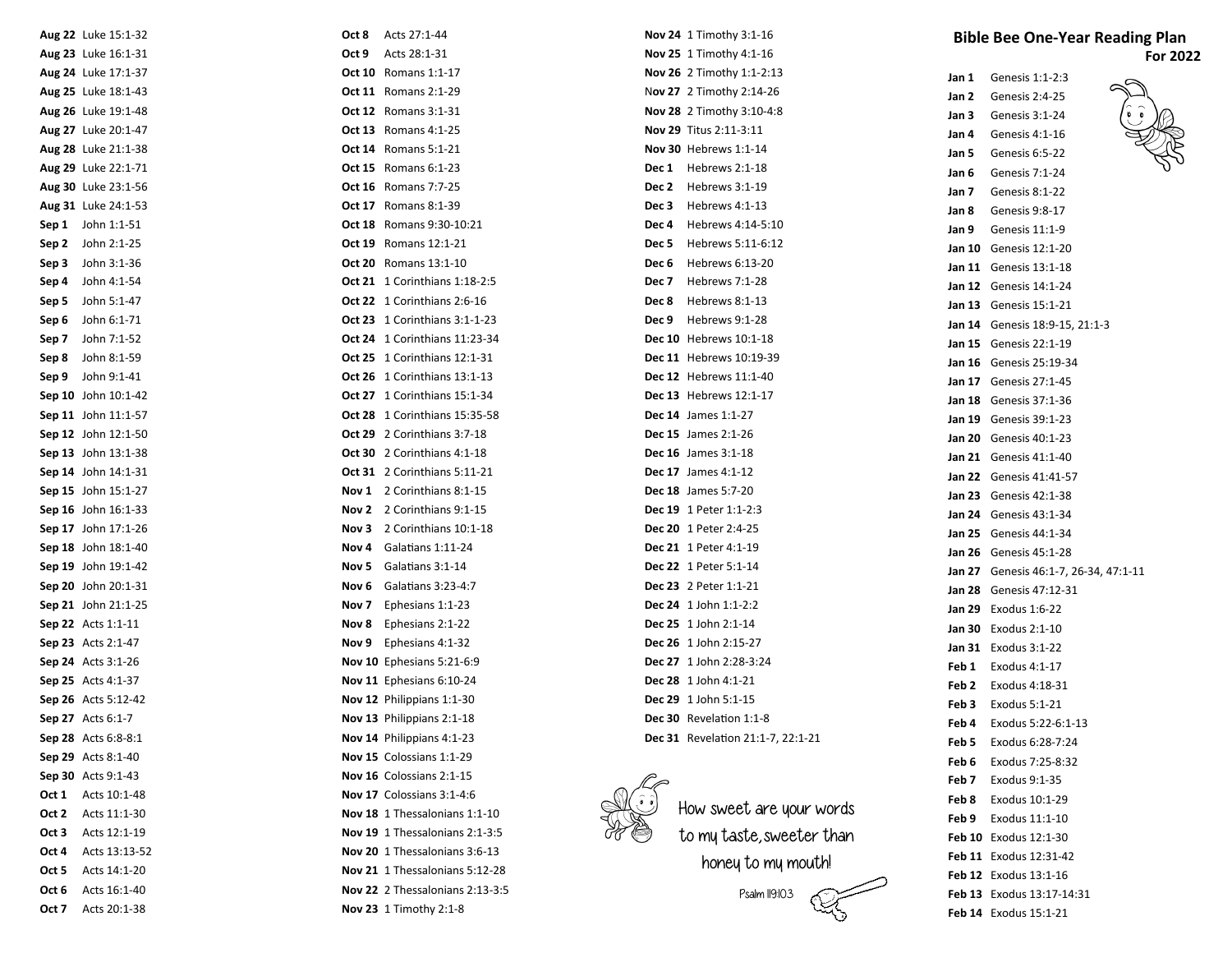| Aug 22 Luke 15:1-32                      | Acts 27:1-44<br>Oct 8                                  | Nov 24 1 Timothy 3:1-16                         | <b>Bible Bee One-Year Reading Plan</b>           |
|------------------------------------------|--------------------------------------------------------|-------------------------------------------------|--------------------------------------------------|
| Aug 23 Luke 16:1-31                      | Acts 28:1-31<br>Oct 9                                  | <b>Nov 25</b> 1 Timothy 4:1-16                  | For 2022                                         |
| Aug 24 Luke 17:1-37                      | <b>Oct 10</b> Romans 1:1-17                            | Nov 26 2 Timothy 1:1-2:13                       | Genesis 1:1-2:3<br>Jan 1                         |
| Aug 25 Luke 18:1-43                      | <b>Oct 11</b> Romans 2:1-29                            | Nov 27 2 Timothy 2:14-26                        | Jan 2<br>Genesis 2:4-25                          |
| Aug 26 Luke 19:1-48                      | <b>Oct 12</b> Romans 3:1-31                            | Nov 28 2 Timothy 3:10-4:8                       | Genesis 3:1-24<br>Jan 3                          |
| Aug 27 Luke 20:1-47                      | <b>Oct 13</b> Romans 4:1-25                            | Nov 29 Titus 2:11-3:11                          | Genesis 4:1-16<br>Jan 4                          |
| Aug 28 Luke 21:1-38                      | <b>Oct 14</b> Romans 5:1-21                            | <b>Nov 30 Hebrews 1:1-14</b>                    | Genesis 6:5-22<br>Jan 5                          |
| Aug 29 Luke 22:1-71                      | <b>Oct 15</b> Romans 6:1-23                            | Dec 1 Hebrews 2:1-18                            | Genesis 7:1-24<br>Jan 6                          |
| Aug 30 Luke 23:1-56                      | <b>Oct 16</b> Romans 7:7-25                            | Dec 2 Hebrews 3:1-19                            | Genesis 8:1-22<br>Jan 7                          |
| Aug 31 Luke 24:1-53                      | <b>Oct 17</b> Romans 8:1-39                            | Dec 3 Hebrews 4:1-13                            | Jan 8<br>Genesis 9:8-17                          |
| Sep 1 John 1:1-51                        | <b>Oct 18</b> Romans 9:30-10:21                        | Hebrews 4:14-5:10<br>Dec 4                      | Jan 9<br>Genesis 11:1-9                          |
| <b>Sep 2</b> John 2:1-25                 | Oct 19 Romans 12:1-21                                  | Hebrews 5:11-6:12<br>Dec 5                      | <b>Jan 10</b> Genesis 12:1-20                    |
| John 3:1-36<br>Sep 3                     | Oct 20 Romans 13:1-10                                  | Dec 6<br>Hebrews 6:13-20                        | <b>Jan 11</b> Genesis 13:1-18                    |
| John 4:1-54<br>Sep 4                     | <b>Oct 21</b> 1 Corinthians 1:18-2:5                   | Hebrews 7:1-28<br>Dec 7                         | <b>Jan 12</b> Genesis 14:1-24                    |
| John 5:1-47<br>Sep 5                     | Oct 22 1 Corinthians 2:6-16                            | Dec 8<br>Hebrews 8:1-13                         | <b>Jan 13</b> Genesis 15:1-21                    |
| John 6:1-71<br>Sep 6                     | <b>Oct 23</b> 1 Corinthians 3:1-1-23                   | Dec 9 Hebrews 9:1-28                            | Jan 14 Genesis 18:9-15, 21:1-3                   |
| John 7:1-52<br>Sep 7                     | <b>Oct 24</b> 1 Corinthians 11:23-34                   | Dec 10 Hebrews 10:1-18                          | <b>Jan 15</b> Genesis 22:1-19                    |
| John 8:1-59<br>Sep 8                     | <b>Oct 25</b> 1 Corinthians 12:1-31                    | Dec 11 Hebrews 10:19-39                         | <b>Jan 16</b> Genesis 25:19-34                   |
| Sep 9 John 9:1-41                        | <b>Oct 26</b> 1 Corinthians 13:1-13                    | Dec 12 Hebrews 11:1-40                          | <b>Jan 17</b> Genesis 27:1-45                    |
| Sep 10 John 10:1-42                      | <b>Oct 27</b> 1 Corinthians 15:1-34                    | Dec 13 Hebrews 12:1-17                          | <b>Jan 18</b> Genesis 37:1-36                    |
| Sep 11 John 11:1-57                      | Oct 28 1 Corinthians 15:35-58                          | Dec 14 James 1:1-27                             | <b>Jan 19</b> Genesis 39:1-23                    |
| Sep 12 John 12:1-50                      | Oct 29 2 Corinthians 3:7-18                            | <b>Dec 15</b> James 2:1-26                      | <b>Jan 20</b> Genesis 40:1-23                    |
| Sep 13 John 13:1-38                      | <b>Oct 30</b> 2 Corinthians 4:1-18                     | <b>Dec 16</b> James 3:1-18                      | <b>Jan 21</b> Genesis 41:1-40                    |
| Sep 14 John 14:1-31                      | Oct 31 2 Corinthians 5:11-21                           | <b>Dec 17</b> James 4:1-12                      | <b>Jan 22</b> Genesis 41:41-57                   |
| Sep 15 John 15:1-27                      | Nov 1 2 Corinthians 8:1-15                             | Dec 18 James 5:7-20                             | <b>Jan 23</b> Genesis 42:1-38                    |
| Sep 16 John 16:1-33                      | Nov 2 2 Corinthians 9:1-15                             | Dec 19 1 Peter 1:1-2:3                          | <b>Jan 24</b> Genesis 43:1-34                    |
| Sep 17 John 17:1-26                      | Nov 3 2 Corinthians 10:1-18                            | Dec 20 1 Peter 2:4-25                           | <b>Jan 25</b> Genesis 44:1-34                    |
| Sep 18 John 18:1-40                      | Galatians 1:11-24<br>Nov 4                             | Dec 21 1 Peter 4:1-19                           | <b>Jan 26</b> Genesis 45:1-28                    |
| Sep 19 John 19:1-42                      | Nov 5 Galatians 3:1-14                                 | <b>Dec 22</b> 1 Peter 5:1-14                    | Jan 27 Genesis 46:1-7, 26-34, 47:1-11            |
| Sep 20 John 20:1-31                      | <b>Nov 6</b> Galatians 3:23-4:7                        | Dec 23 2 Peter 1:1-21                           | <b>Jan 28</b> Genesis 47:12-31                   |
| Sep 21 John 21:1-25                      | Ephesians 1:1-23<br>Nov 7                              | Dec 24 1 John 1:1-2:2                           | <b>Jan 29</b> Exodus 1:6-22                      |
| <b>Sep 22</b> Acts 1:1-11                | Ephesians 2:1-22<br>Nov 8                              | Dec 25 1 John 2:1-14                            | <b>Jan 30</b> Exodus 2:1-10                      |
| Sep 23 Acts 2:1-47                       | Ephesians 4:1-32<br>Nov 9<br>Nov 10 Ephesians 5:21-6:9 | Dec 26 1 John 2:15-27                           | <b>Jan 31</b> Exodus 3:1-22                      |
| Sep 24 Acts 3:1-26<br>Sep 25 Acts 4:1-37 |                                                        | Dec 27 1 John 2:28-3:24<br>Dec 28 1 John 4:1-21 | <b>Feb 1</b> Exodus 4:1-17                       |
| Sep 26 Acts 5:12-42                      | Nov 11 Ephesians 6:10-24<br>Nov 12 Philippians 1:1-30  | Dec 29 1 John 5:1-15                            | Feb 2<br>Exodus 4:18-31                          |
| <b>Sep 27</b> Acts 6:1-7                 | Nov 13 Philippians 2:1-18                              | Dec 30 Revelation 1:1-8                         | <b>Feb 3</b> Exodus 5:1-21                       |
| <b>Sep 28</b> Acts 6:8-8:1               | Nov 14 Philippians 4:1-23                              | Dec 31 Revelation 21:1-7, 22:1-21               | Exodus 5:22-6:1-13                               |
| <b>Sep 29</b> Acts 8:1-40                | Nov 15 Colossians 1:1-29                               |                                                 | Exodus 6:28-7:24<br>Feb 5                        |
| Sep 30 Acts 9:1-43                       | Nov 16 Colossians 2:1-15                               |                                                 | Exodus 7:25-8:32<br>Feb 6                        |
| <b>Oct 1</b> Acts 10:1-48                | Nov 17 Colossians 3:1-4:6                              |                                                 | Exodus 9:1-35<br>Feb 7                           |
| <b>Oct 2</b> Acts 11:1-30                | Nov 18 1 Thessalonians 1:1-10                          | How sweet are your words                        | Exodus 10:1-29<br>Feb 8                          |
| Acts 12:1-19<br>Oct 3                    | Nov 19 1 Thessalonians 2:1-3:5                         | to my taste, sweeter than                       | Feb 9<br>Exodus 11:1-10<br>Feb 10 Exodus 12:1-30 |
| Acts 13:13-52<br>Oct 4                   | Nov 20 1 Thessalonians 3:6-13                          |                                                 | Feb 11 Exodus 12:31-42                           |
| Acts 14:1-20<br>Oct 5                    | Nov 21 1 Thessalonians 5:12-28                         | honey to my mouth!                              | <b>Feb 12</b> Exodus 13:1-16                     |
| Acts 16:1-40<br>Oct 6                    | Nov 22 2 Thessalonians 2:13-3:5                        | Psalm II9:103                                   | Feb 13 Exodus 13:17-14:31                        |
| Acts 20:1-38<br>Oct 7                    | <b>Nov 23</b> 1 Timothy 2:1-8                          |                                                 | Feb 14 Exodus 15:1-21                            |
|                                          |                                                        |                                                 |                                                  |